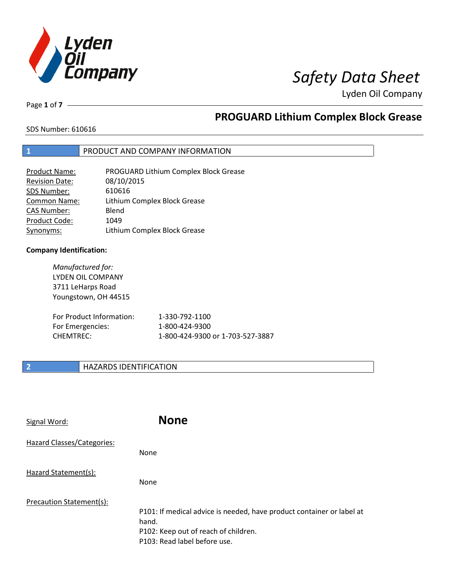

# *Safety Data Sheet*

Lyden Oil Company

Page **1** of **7**

# **PROGUARD Lithium Complex Block Grease**

### SDS Number: 610616

# **1** PRODUCT AND COMPANY INFORMATION

| <b>Product Name:</b>  | PROGUARD Lithium Complex Block Grease |
|-----------------------|---------------------------------------|
| <b>Revision Date:</b> | 08/10/2015                            |
| SDS Number:           | 610616                                |
| Common Name:          | Lithium Complex Block Grease          |
| <b>CAS Number:</b>    | Blend                                 |
| Product Code:         | 1049                                  |
| Synonyms:             | Lithium Complex Block Grease          |

### **Company Identification:**

| Manufactured for:<br>LYDEN OIL COMPANY<br>3711 LeHarps Road<br>Youngstown, OH 44515 |                                  |
|-------------------------------------------------------------------------------------|----------------------------------|
| For Product Information:                                                            | 1-330-792-1100                   |
| For Emergencies:                                                                    | 1-800-424-9300                   |
| CHEMTREC:                                                                           | 1-800-424-9300 or 1-703-527-3887 |

# **2 HAZARDS IDENTIFICATION**

| Signal Word:               | <b>None</b>                                                                                                                                            |
|----------------------------|--------------------------------------------------------------------------------------------------------------------------------------------------------|
| Hazard Classes/Categories: | <b>None</b>                                                                                                                                            |
| Hazard Statement(s):       | <b>None</b>                                                                                                                                            |
| Precaution Statement(s):   | P101: If medical advice is needed, have product container or label at<br>hand.<br>P102: Keep out of reach of children.<br>P103: Read label before use. |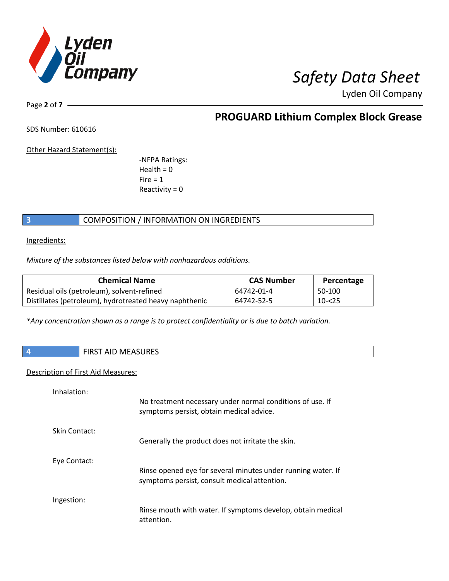

Lyden Oil Company

Page **2** of **7**

**PROGUARD Lithium Complex Block Grease**

SDS Number: 610616

Other Hazard Statement(s):

-NFPA Ratings:  $Health = 0$  $Fire = 1$ Reactivity  $= 0$ 

# **3** COMPOSITION / INFORMATION ON INGREDIENTS

Ingredients:

*Mixture of the substances listed below with nonhazardous additions.*

| <b>Chemical Name</b>                                   | <b>CAS Number</b> | Percentage |
|--------------------------------------------------------|-------------------|------------|
| Residual oils (petroleum), solvent-refined             | 64742-01-4        | 50-100     |
| Distillates (petroleum), hydrotreated heavy naphthenic | 64742-52-5        | $10 - 25$  |

*\*Any concentration shown as a range is to protect confidentiality or is due to batch variation.*

| $\overline{4}$<br><b>FIRST AID MEASURES</b> |                                                                                                       |
|---------------------------------------------|-------------------------------------------------------------------------------------------------------|
|                                             | <b>Description of First Aid Measures:</b>                                                             |
| Inhalation:                                 | No treatment necessary under normal conditions of use. If<br>symptoms persist, obtain medical advice. |
| Skin Contact:                               | Generally the product does not irritate the skin.                                                     |

Eye Contact:

Ingestion:

Rinse opened eye for several minutes under running water. If symptoms persist, consult medical attention.

Rinse mouth with water. If symptoms develop, obtain medical attention.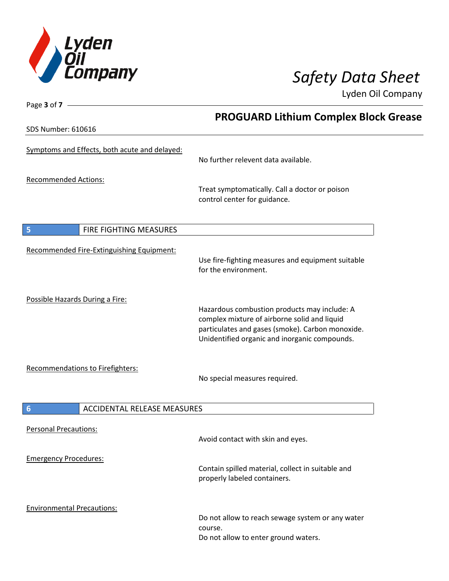

Page **3** of **7**

Lyden Oil Company

**PROGUARD Lithium Complex Block Grease** SDS Number: 610616 Symptoms and Effects, both acute and delayed: No further relevent data available. Recommended Actions: Treat symptomatically. Call a doctor or poison control center for guidance. **5** FIRE FIGHTING MEASURES Recommended Fire-Extinguishing Equipment: Use fire-fighting measures and equipment suitable for the environment. Possible Hazards During a Fire: Hazardous combustion products may include: A complex mixture of airborne solid and liquid particulates and gases (smoke). Carbon monoxide. Unidentified organic and inorganic compounds. Recommendations to Firefighters: No special measures required. **6** ACCIDENTAL RELEASE MEASURES Personal Precautions: Avoid contact with skin and eyes. Emergency Procedures: Contain spilled material, collect in suitable and properly labeled containers. Environmental Precautions: Do not allow to reach sewage system or any water course. Do not allow to enter ground waters.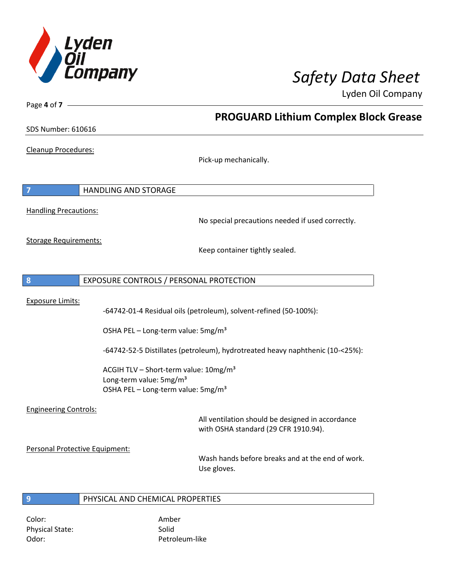

**PROGUARD Lithium Complex Block Grease**

Lyden Oil Company

SDS Number: 610616

Page **4** of **7**

Cleanup Procedures:

Pick-up mechanically.

**7** HANDLING AND STORAGE Handling Precautions: No special precautions needed if used correctly. Storage Requirements: Keep container tightly sealed. **8** EXPOSURE CONTROLS / PERSONAL PROTECTION Exposure Limits: -64742-01-4 Residual oils (petroleum), solvent-refined (50-100%): OSHA PEL - Long-term value: 5mg/m<sup>3</sup> -64742-52-5 Distillates (petroleum), hydrotreated heavy naphthenic (10-<25%): ACGIH TLV – Short-term value:  $10\,\text{mg/m}^3$ Long-term value: 5mg/m<sup>3</sup> OSHA PEL – Long-term value: 5mg/m<sup>3</sup> Engineering Controls: All ventilation should be designed in accordance with OSHA standard (29 CFR 1910.94). Personal Protective Equipment: Wash hands before breaks and at the end of work. Use gloves. **9** PHYSICAL AND CHEMICAL PROPERTIES

Color: Amber Physical State: Solid Odor: Petroleum-like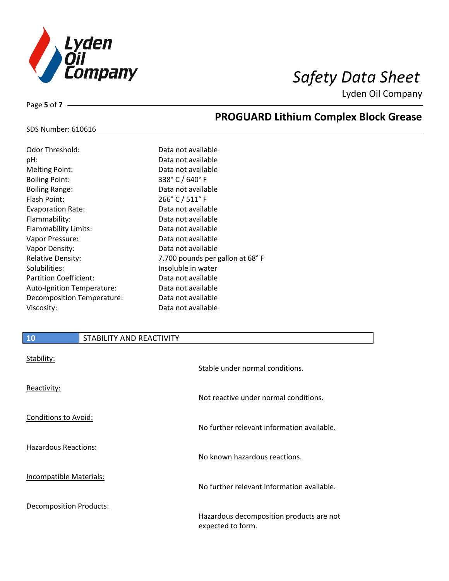

**PROGUARD Lithium Complex Block Grease**

Lyden Oil Company

### SDS Number: 610616

Page **5** of **7**

| Odor Threshold:                   | Data not available              |
|-----------------------------------|---------------------------------|
| pH:                               | Data not available              |
| <b>Melting Point:</b>             | Data not available              |
| <b>Boiling Point:</b>             | 338° C / 640° F                 |
| <b>Boiling Range:</b>             | Data not available              |
| Flash Point:                      | 266° C / 511° F                 |
| <b>Evaporation Rate:</b>          | Data not available              |
| Flammability:                     | Data not available              |
| <b>Flammability Limits:</b>       | Data not available              |
| Vapor Pressure:                   | Data not available              |
| Vapor Density:                    | Data not available              |
| <b>Relative Density:</b>          | 7.700 pounds per gallon at 68°F |
| Solubilities:                     | Insoluble in water              |
| <b>Partition Coefficient:</b>     | Data not available              |
| <b>Auto-Ignition Temperature:</b> | Data not available              |
| Decomposition Temperature:        | Data not available              |
| Viscosity:                        | Data not available              |

# **10** STABILITY AND REACTIVITY

| Stability:                     | Stable under normal conditions.                               |
|--------------------------------|---------------------------------------------------------------|
| Reactivity:                    | Not reactive under normal conditions.                         |
| <b>Conditions to Avoid:</b>    | No further relevant information available.                    |
| Hazardous Reactions:           | No known hazardous reactions.                                 |
| <b>Incompatible Materials:</b> | No further relevant information available.                    |
| <b>Decomposition Products:</b> | Hazardous decomposition products are not<br>expected to form. |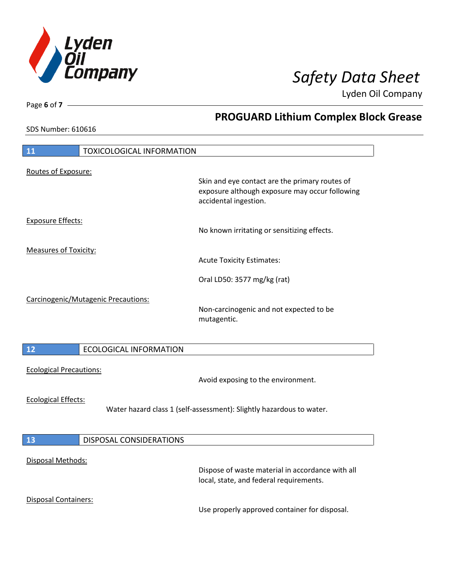

**PROGUARD Lithium Complex Block Grease**

Lyden Oil Company

SDS Number: 610616

Page **6** of **7**

| <b>TOXICOLOGICAL INFORMATION</b><br>11 |                                                                                                                           |
|----------------------------------------|---------------------------------------------------------------------------------------------------------------------------|
| Routes of Exposure:                    |                                                                                                                           |
|                                        | Skin and eye contact are the primary routes of<br>exposure although exposure may occur following<br>accidental ingestion. |
| <b>Exposure Effects:</b>               | No known irritating or sensitizing effects.                                                                               |
| <b>Measures of Toxicity:</b>           | <b>Acute Toxicity Estimates:</b>                                                                                          |
|                                        | Oral LD50: 3577 mg/kg (rat)                                                                                               |
| Carcinogenic/Mutagenic Precautions:    | Non-carcinogenic and not expected to be<br>mutagentic.                                                                    |
| <b>ECOLOGICAL INFORMATION</b><br>12    |                                                                                                                           |
| <b>Ecological Precautions:</b>         | Avoid exposing to the environment.                                                                                        |
| <b>Ecological Effects:</b>             | Water hazard class 1 (self-assessment): Slightly hazardous to water.                                                      |
| <b>DISPOSAL CONSIDERATIONS</b><br>13   |                                                                                                                           |
|                                        |                                                                                                                           |
| Disposal Methods:                      | Dispose of waste material in accordance with all<br>local, state, and federal requirements.                               |
| <b>Disposal Containers:</b>            |                                                                                                                           |
|                                        | Use properly approved container for disposal.                                                                             |